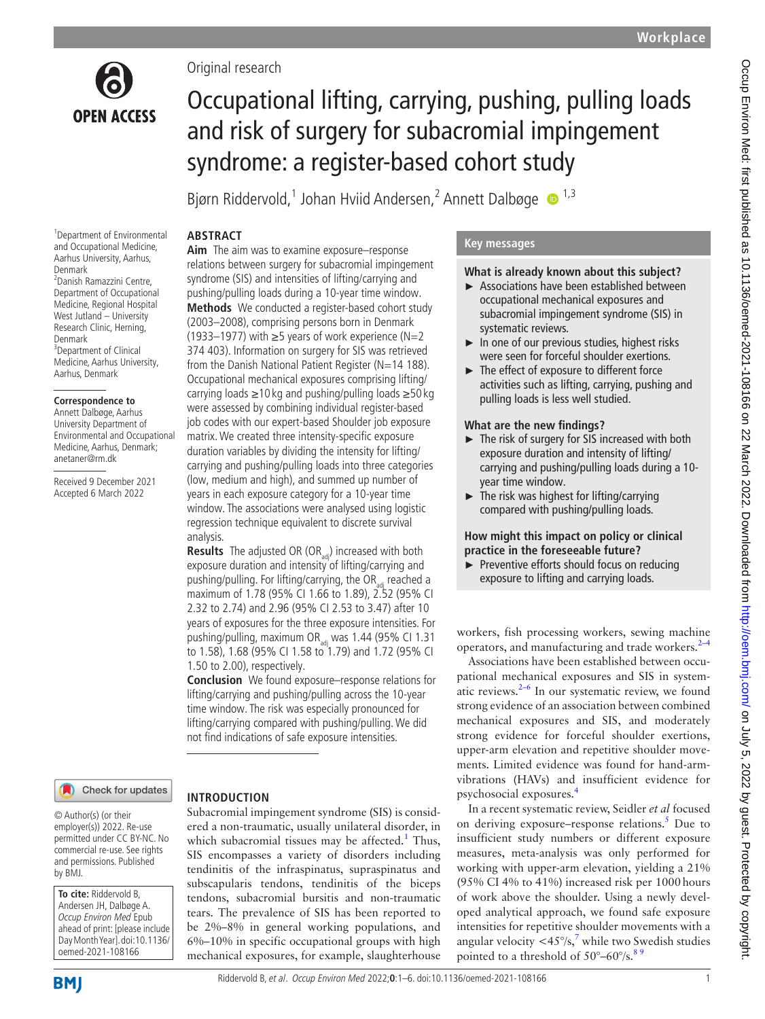

Original research

# Occupational lifting, carrying, pushing, pulling loads and risk of surgery for subacromial impingement syndrome: a register-based cohort study

Bjørn Riddervold,<sup>1</sup> Johan Hviid Andersen,<sup>2</sup> Annett Dalbøge <sup>1,3</sup>

#### 1 Department of Environmental and Occupational Medicine, Aarhus University, Aarhus, Denmark 2 Danish Ramazzini Centre, Department of Occupational Medicine, Regional Hospital West Jutland – University Research Clinic, Herning, Denmark <sup>3</sup>Department of Clinical Medicine, Aarhus University, Aarhus, Denmark

#### **Correspondence to**

Annett Dalbøge, Aarhus University Department of Environmental and Occupational Medicine, Aarhus, Denmark; anetaner@rm.dk

Received 9 December 2021 Accepted 6 March 2022

## **ABSTRACT**

**Aim** The aim was to examine exposure–response relations between surgery for subacromial impingement syndrome (SIS) and intensities of lifting/carrying and pushing/pulling loads during a 10-year time window. **Methods** We conducted a register-based cohort study (2003–2008), comprising persons born in Denmark (1933–1977) with  $≥5$  years of work experience (N=2 374 403). Information on surgery for SIS was retrieved from the Danish National Patient Register (N=14 188). Occupational mechanical exposures comprising lifting/ carrying loads ≥10 kg and pushing/pulling loads ≥50 kg were assessed by combining individual register-based job codes with our expert-based Shoulder job exposure matrix. We created three intensity-specific exposure duration variables by dividing the intensity for lifting/ carrying and pushing/pulling loads into three categories (low, medium and high), and summed up number of years in each exposure category for a 10-year time window. The associations were analysed using logistic regression technique equivalent to discrete survival analysis.

**Results** The adjusted OR (OR<sub>adi</sub>) increased with both exposure duration and intensity of lifting/carrying and pushing/pulling. For lifting/carrying, the  $OR_{10}$  reached a maximum of 1.78 (95% CI 1.66 to 1.89), 2.52 (95% CI 2.32 to 2.74) and 2.96 (95% CI 2.53 to 3.47) after 10 years of exposures for the three exposure intensities. For pushing/pulling, maximum OR $_{\text{act}}$  was 1.44 (95% CI 1.31 to 1.58), 1.68 (95% CI 1.58 to 1.79) and 1.72 (95% CI 1.50 to 2.00), respectively.

**Conclusion** We found exposure–response relations for lifting/carrying and pushing/pulling across the 10-year time window. The risk was especially pronounced for lifting/carrying compared with pushing/pulling. We did not find indications of safe exposure intensities.

Subacromial impingement syndrome (SIS) is considered a non-traumatic, usually unilateral disorder, in which subacromial tissues may be affected.<sup>[1](#page-4-0)</sup> Thus, SIS encompasses a variety of disorders including tendinitis of the infraspinatus, supraspinatus and subscapularis tendons, tendinitis of the biceps tendons, subacromial bursitis and non-traumatic tears. The prevalence of SIS has been reported to be 2%–8% in general working populations, and 6%–10% in specific occupational groups with high mechanical exposures, for example, slaughterhouse

#### Check for updates

## **INTRODUCTION**

© Author(s) (or their employer(s)) 2022. Re-use permitted under CC BY-NC. No commercial re-use. See rights and permissions. Published by BMJ.

**To cite:** Riddervold B, Andersen JH, Dalbøge A. Occup Environ Med Epub ahead of print: [please include Day Month Year]. doi:10.1136/ oemed-2021-108166

**BMI** 

## **Key messages**

#### **What is already known about this subject?**

- ► Associations have been established between occupational mechanical exposures and subacromial impingement syndrome (SIS) in systematic reviews.
- ► In one of our previous studies, highest risks were seen for forceful shoulder exertions.
- ► The effect of exposure to different force activities such as lifting, carrying, pushing and pulling loads is less well studied.

#### **What are the new findings?**

- ► The risk of surgery for SIS increased with both exposure duration and intensity of lifting/ carrying and pushing/pulling loads during a 10 year time window.
- $\blacktriangleright$  The risk was highest for lifting/carrying compared with pushing/pulling loads.

## **How might this impact on policy or clinical practice in the foreseeable future?**

Preventive efforts should focus on reducing exposure to lifting and carrying loads.

workers, fish processing workers, sewing machine operators, and manufacturing and trade workers.<sup>[2–4](#page-4-1)</sup>

Associations have been established between occupational mechanical exposures and SIS in systematic reviews. $2-6$  In our systematic review, we found strong evidence of an association between combined mechanical exposures and SIS, and moderately strong evidence for forceful shoulder exertions, upper-arm elevation and repetitive shoulder movements. Limited evidence was found for hand-armvibrations (HAVs) and insufficient evidence for psychosocial exposures.[4](#page-4-2)

In a recent systematic review, Seidler *et al* focused on deriving exposure–response relations.<sup>[5](#page-4-3)</sup> Due to insufficient study numbers or different exposure measures, meta-analysis was only performed for working with upper-arm elevation, yielding a 21% (95% CI 4% to 41%) increased risk per 1000hours of work above the shoulder. Using a newly developed analytical approach, we found safe exposure intensities for repetitive shoulder movements with a angular velocity  $\langle 45^\circ / s \rangle$  while two Swedish studies pointed to a threshold of  $50^{\circ} - 60^{\circ}/s$ .<sup>89</sup>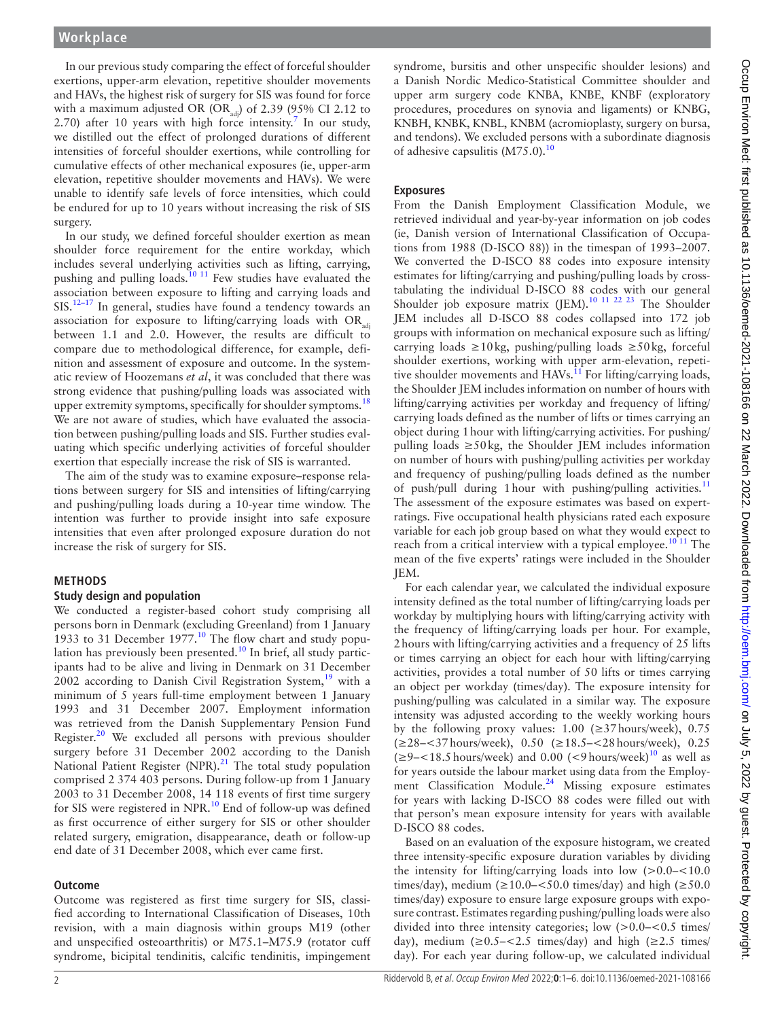In our previous study comparing the effect of forceful shoulder exertions, upper-arm elevation, repetitive shoulder movements and HAVs, the highest risk of surgery for SIS was found for force with a maximum adjusted OR (OR<sub>adi</sub>) of 2.39 (95% CI 2.12 to 2.[7](#page-4-4)0) after 10 years with high force intensity.<sup>7</sup> In our study, we distilled out the effect of prolonged durations of different intensities of forceful shoulder exertions, while controlling for cumulative effects of other mechanical exposures (ie, upper-arm elevation, repetitive shoulder movements and HAVs). We were unable to identify safe levels of force intensities, which could be endured for up to 10 years without increasing the risk of SIS surgery.

In our study, we defined forceful shoulder exertion as mean shoulder force requirement for the entire workday, which includes several underlying activities such as lifting, carrying, pushing and pulling loads.<sup>[10 11](#page-5-0)</sup> Few studies have evaluated the association between exposure to lifting and carrying loads and SIS.<sup>12-17</sup> In general, studies have found a tendency towards an association for exposure to lifting/carrying loads with  $OR_{ad}$ between 1.1 and 2.0. However, the results are difficult to compare due to methodological difference, for example, definition and assessment of exposure and outcome. In the systematic review of Hoozemans *et al*, it was concluded that there was strong evidence that pushing/pulling loads was associated with upper extremity symptoms, specifically for shoulder symptoms.<sup>[18](#page-5-2)</sup> We are not aware of studies, which have evaluated the association between pushing/pulling loads and SIS. Further studies evaluating which specific underlying activities of forceful shoulder exertion that especially increase the risk of SIS is warranted.

The aim of the study was to examine exposure–response relations between surgery for SIS and intensities of lifting/carrying and pushing/pulling loads during a 10-year time window. The intention was further to provide insight into safe exposure intensities that even after prolonged exposure duration do not increase the risk of surgery for SIS.

## **METHODS**

## **Study design and population**

We conducted a register-based cohort study comprising all persons born in Denmark (excluding Greenland) from 1 January 1933 to 31 December 1977.<sup>[10](#page-5-0)</sup> The flow chart and study population has previously been presented.<sup>10</sup> In brief, all study participants had to be alive and living in Denmark on 31 December 2002 according to Danish Civil Registration System, $19$  with a minimum of 5 years full-time employment between 1 January 1993 and 31 December 2007. Employment information was retrieved from the Danish Supplementary Pension Fund Register.<sup>20</sup> We excluded all persons with previous shoulder surgery before 31 December 2002 according to the Danish National Patient Register (NPR). $^{21}$  $^{21}$  $^{21}$  The total study population comprised 2 374 403 persons. During follow-up from 1 January 2003 to 31 December 2008, 14 118 events of first time surgery for SIS were registered in NPR.<sup>10</sup> End of follow-up was defined as first occurrence of either surgery for SIS or other shoulder related surgery, emigration, disappearance, death or follow-up end date of 31 December 2008, which ever came first.

## **Outcome**

Outcome was registered as first time surgery for SIS, classified according to International Classification of Diseases, 10th revision, with a main diagnosis within groups M19 (other and unspecified osteoarthritis) or M75.1–M75.9 (rotator cuff syndrome, bicipital tendinitis, calcific tendinitis, impingement

syndrome, bursitis and other unspecific shoulder lesions) and a Danish Nordic Medico-Statistical Committee shoulder and upper arm surgery code KNBA, KNBE, KNBF (exploratory procedures, procedures on synovia and ligaments) or KNBG, KNBH, KNBK, KNBL, KNBM (acromioplasty, surgery on bursa, and tendons). We excluded persons with a subordinate diagnosis of adhesive capsulitis (M75.0).<sup>10</sup>

## **Exposures**

From the Danish Employment Classification Module, we retrieved individual and year-by-year information on job codes (ie, Danish version of International Classification of Occupations from 1988 (D-ISCO 88)) in the timespan of 1993–2007. We converted the D-ISCO 88 codes into exposure intensity estimates for lifting/carrying and pushing/pulling loads by crosstabulating the individual D-ISCO 88 codes with our general Shoulder job exposure matrix (JEM).<sup>[10 11 22 23](#page-5-0)</sup> The Shoulder JEM includes all D-ISCO 88 codes collapsed into 172 job groups with information on mechanical exposure such as lifting/ carrying loads ≥10kg, pushing/pulling loads ≥50kg, forceful shoulder exertions, working with upper arm-elevation, repeti-tive shoulder movements and HAVs.<sup>[11](#page-5-6)</sup> For lifting/carrying loads, the Shoulder JEM includes information on number of hours with lifting/carrying activities per workday and frequency of lifting/ carrying loads defined as the number of lifts or times carrying an object during 1hour with lifting/carrying activities. For pushing/ pulling loads  $\geq 50 \text{ kg}$ , the Shoulder JEM includes information on number of hours with pushing/pulling activities per workday and frequency of pushing/pulling loads defined as the number of push/pull during 1 hour with pushing/pulling activities.<sup>[11](#page-5-6)</sup> The assessment of the exposure estimates was based on expertratings. Five occupational health physicians rated each exposure variable for each job group based on what they would expect to reach from a critical interview with a typical employee.<sup>[10 11](#page-5-0)</sup> The mean of the five experts' ratings were included in the Shoulder JEM.

For each calendar year, we calculated the individual exposure intensity defined as the total number of lifting/carrying loads per workday by multiplying hours with lifting/carrying activity with the frequency of lifting/carrying loads per hour. For example, 2hours with lifting/carrying activities and a frequency of 25 lifts or times carrying an object for each hour with lifting/carrying activities, provides a total number of 50 lifts or times carrying an object per workday (times/day). The exposure intensity for pushing/pulling was calculated in a similar way. The exposure intensity was adjusted according to the weekly working hours by the following proxy values:  $1.00$  ( $\geq$ 37hours/week), 0.75 (≥28–<37hours/week), 0.50 (≥18.5–<28hours/week), 0.25  $(\geq 9 - \leq 18.5$  hours/week) and 0.00 (<9 hours/week)<sup>[10](#page-5-0)</sup> as well as for years outside the labour market using data from the Employment Classification Module.<sup>24</sup> Missing exposure estimates for years with lacking D-ISCO 88 codes were filled out with that person's mean exposure intensity for years with available D-ISCO 88 codes.

Based on an evaluation of the exposure histogram, we created three intensity-specific exposure duration variables by dividing the intensity for lifting/carrying loads into low  $(>0.0<10.0$ times/day), medium ( $\geq 10.0 - \leq 50.0$  times/day) and high ( $\geq 50.0$ times/day) exposure to ensure large exposure groups with exposure contrast. Estimates regarding pushing/pulling loads were also divided into three intensity categories; low  $(>0.0-<0.5$  times/ day), medium  $(\geq 0.5 - \leq 2.5$  times/day) and high  $(\geq 2.5$  times/ day). For each year during follow-up, we calculated individual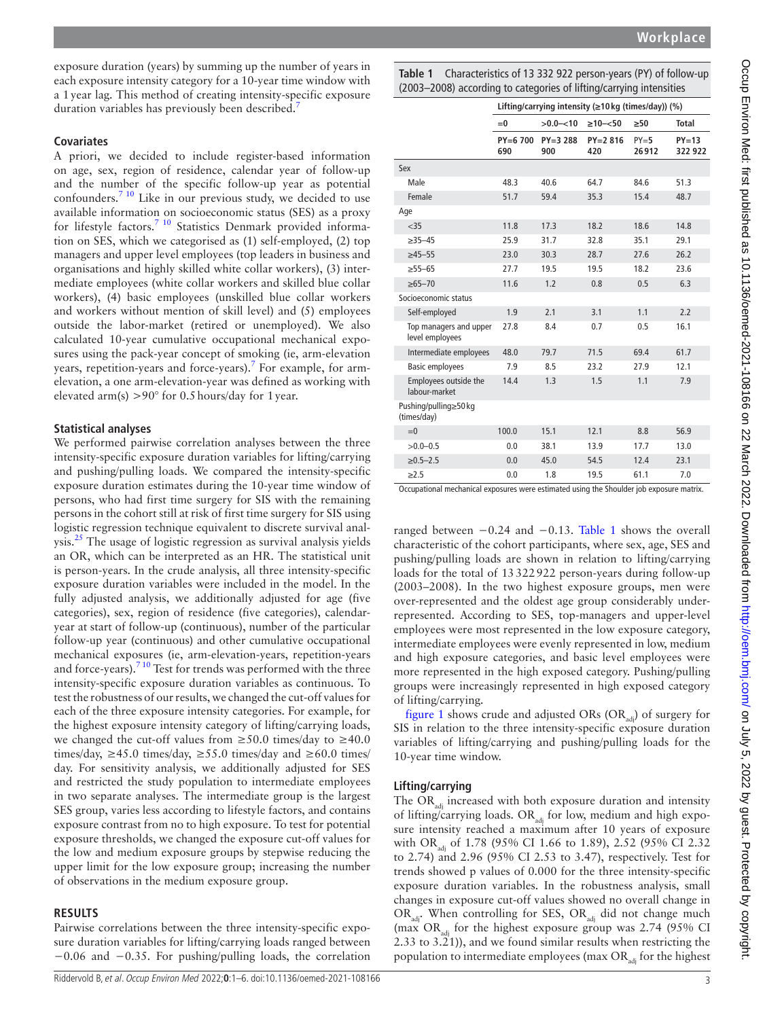exposure duration (years) by summing up the number of years in each exposure intensity category for a 10-year time window with a 1year lag. This method of creating intensity-specific exposure duration variables has previously been described.<sup>7</sup>

#### **Covariates**

A priori, we decided to include register-based information on age, sex, region of residence, calendar year of follow-up and the number of the specific follow-up year as potential confounders.<sup>7 10</sup> Like in our previous study, we decided to use available information on socioeconomic status (SES) as a proxy for lifestyle factors.<sup>7 10</sup> Statistics Denmark provided information on SES, which we categorised as (1) self-employed, (2) top managers and upper level employees (top leaders in business and organisations and highly skilled white collar workers), (3) intermediate employees (white collar workers and skilled blue collar workers), (4) basic employees (unskilled blue collar workers and workers without mention of skill level) and (5) employees outside the labor-market (retired or unemployed). We also calculated 10-year cumulative occupational mechanical exposures using the pack-year concept of smoking (ie, arm-elevation years, repetition-years and force-years).<sup>[7](#page-4-4)</sup> For example, for armelevation, a one arm-elevation-year was defined as working with elevated arm(s)  $>90^{\circ}$  for 0.5 hours/day for 1 year.

## **Statistical analyses**

We performed pairwise correlation analyses between the three intensity-specific exposure duration variables for lifting/carrying and pushing/pulling loads. We compared the intensity-specific exposure duration estimates during the 10-year time window of persons, who had first time surgery for SIS with the remaining persons in the cohort still at risk of first time surgery for SIS using logistic regression technique equivalent to discrete survival analysis.<sup>25</sup> The usage of logistic regression as survival analysis yields an OR, which can be interpreted as an HR. The statistical unit is person-years. In the crude analysis, all three intensity-specific exposure duration variables were included in the model. In the fully adjusted analysis, we additionally adjusted for age (five categories), sex, region of residence (five categories), calendaryear at start of follow-up (continuous), number of the particular follow-up year (continuous) and other cumulative occupational mechanical exposures (ie, arm-elevation-years, repetition-years and force-years). $7^{10}$  Test for trends was performed with the three intensity-specific exposure duration variables as continuous. To test the robustness of our results, we changed the cut-off values for each of the three exposure intensity categories. For example, for the highest exposure intensity category of lifting/carrying loads, we changed the cut-off values from  $\geq 50.0$  times/day to  $\geq 40.0$ times/day,  $\geq 45.0$  times/day,  $\geq 55.0$  times/day and  $\geq 60.0$  times/ day. For sensitivity analysis, we additionally adjusted for SES and restricted the study population to intermediate employees in two separate analyses. The intermediate group is the largest SES group, varies less according to lifestyle factors, and contains exposure contrast from no to high exposure. To test for potential exposure thresholds, we changed the exposure cut-off values for the low and medium exposure groups by stepwise reducing the upper limit for the low exposure group; increasing the number of observations in the medium exposure group.

## **RESULTS**

Pairwise correlations between the three intensity-specific exposure duration variables for lifting/carrying loads ranged between −0.06 and −0.35. For pushing/pulling loads, the correlation <span id="page-2-0"></span>**Table 1** Characteristics of 13 332 922 person-years (PY) of follow-up (2003–2008) according to categories of lifting/carrying intensities

|                                           | Lifting/carrying intensity ( $\geq 10$ kg (times/day)) (%) |                  |                   |                 |                    |
|-------------------------------------------|------------------------------------------------------------|------------------|-------------------|-----------------|--------------------|
|                                           | $= 0$                                                      | $>0.0 - 10$      | $\geq 10 - 50$    | $\geq 50$       | <b>Total</b>       |
|                                           | $PY=6700$<br>690                                           | $PY=3288$<br>900 | $PY=2.816$<br>420 | $PY=5$<br>26912 | $PY=13$<br>322 922 |
| Sex                                       |                                                            |                  |                   |                 |                    |
| Male                                      | 48.3                                                       | 40.6             | 64.7              | 84.6            | 51.3               |
| Female                                    | 51.7                                                       | 59.4             | 35.3              | 15.4            | 48.7               |
| Age                                       |                                                            |                  |                   |                 |                    |
| $<$ 35                                    | 11.8                                                       | 17.3             | 18.2              | 18.6            | 14.8               |
| $\geq$ 35-45                              | 25.9                                                       | 31.7             | 32.8              | 35.1            | 29.1               |
| $\geq 45 - 55$                            | 23.0                                                       | 30.3             | 28.7              | 27.6            | 26.2               |
| $\geq 55 - 65$                            | 27.7                                                       | 19.5             | 19.5              | 18.2            | 23.6               |
| $\geq 65 - 70$                            | 11.6                                                       | 1.2              | 0.8               | 0.5             | 6.3                |
| Socioeconomic status                      |                                                            |                  |                   |                 |                    |
| Self-employed                             | 1.9                                                        | 2.1              | 3.1               | 1.1             | 2.2                |
| Top managers and upper<br>level employees | 27.8                                                       | 8.4              | 0.7               | 0.5             | 16.1               |
| Intermediate employees                    | 48.0                                                       | 79.7             | 71.5              | 69.4            | 61.7               |
| <b>Basic employees</b>                    | 7.9                                                        | 8.5              | 23.2              | 27.9            | 12.1               |
| Employees outside the<br>labour-market    | 144                                                        | 1.3              | 1.5               | 1.1             | 7.9                |
| Pushing/pulling≥50 kg<br>(times/day)      |                                                            |                  |                   |                 |                    |
| $=0$                                      | 100.0                                                      | 15.1             | 12.1              | 8.8             | 56.9               |
| $>0.0 - 0.5$                              | 0.0                                                        | 38.1             | 13.9              | 17.7            | 13.0               |
| $\ge 0.5 - 2.5$                           | 0.0                                                        | 45.0             | 54.5              | 12.4            | 23.1               |
| $\geq$ 2.5                                | 0.0                                                        | 1.8              | 19.5              | 61.1            | 7.0                |

Occupational mechanical exposures were estimated using the Shoulder job exposure matrix.

ranged between −0.24 and −0.13. [Table](#page-2-0) 1 shows the overall characteristic of the cohort participants, where sex, age, SES and pushing/pulling loads are shown in relation to lifting/carrying loads for the total of 13322922 person-years during follow-up (2003–2008). In the two highest exposure groups, men were over-represented and the oldest age group considerably underrepresented. According to SES, top-managers and upper-level employees were most represented in the low exposure category, intermediate employees were evenly represented in low, medium and high exposure categories, and basic level employees were more represented in the high exposed category. Pushing/pulling groups were increasingly represented in high exposed category of lifting/carrying.

[figure](#page-3-0) 1 shows crude and adjusted ORs (OR $_{\text{adj}}$ ) of surgery for SIS in relation to the three intensity-specific exposure duration variables of lifting/carrying and pushing/pulling loads for the 10-year time window.

## **Lifting/carrying**

The  $OR_{\text{adj}}$  increased with both exposure duration and intensity of lifting/carrying loads. OR<sub>adi</sub> for low, medium and high exposure intensity reached a maximum after 10 years of exposure with OR<sub>adi</sub> of 1.78 (95% CI 1.66 to 1.89), 2.52 (95% CI 2.32 to 2.74) and 2.96 (95% CI 2.53 to 3.47), respectively. Test for trends showed p values of 0.000 for the three intensity-specific exposure duration variables. In the robustness analysis, small changes in exposure cut-off values showed no overall change in OR<sub>adi</sub>. When controlling for SES, OR<sub>adi</sub> did not change much (max  $OR_{\text{adj}}$  for the highest exposure group was 2.74 (95% CI 2.33 to 3.21)), and we found similar results when restricting the population to intermediate employees (max  $OR_{\text{adj}}$  for the highest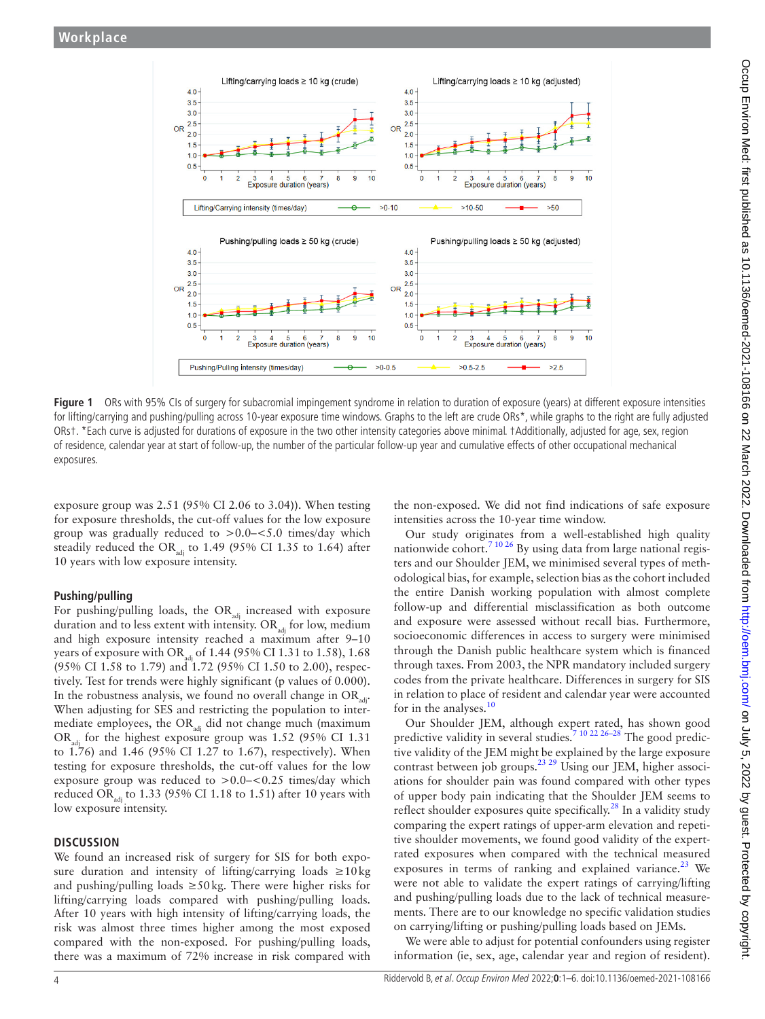

Figure 1 ORs with 95% CIs of surgery for subacromial impingement syndrome in relation to duration of exposure (years) at different exposure intensities for lifting/carrying and pushing/pulling across 10-year exposure time windows. Graphs to the left are crude ORs\*, while graphs to the right are fully adjusted ORs†. \*Each curve is adjusted for durations of exposure in the two other intensity categories above minimal. †Additionally, adjusted for age, sex, region of residence, calendar year at start of follow-up, the number of the particular follow-up year and cumulative effects of other occupational mechanical exposures.

exposure group was 2.51 (95% CI 2.06 to 3.04)). When testing for exposure thresholds, the cut-off values for the low exposure group was gradually reduced to >0.0–<5.0 times/day which steadily reduced the OR<sub>adi</sub> to 1.49 (95% CI 1.35 to 1.64) after 10 years with low exposure intensity.

## **Pushing/pulling**

For pushing/pulling loads, the  $OR_{\text{adj}}$  increased with exposure duration and to less extent with intensity.  $OR_{\text{adj}}$  for low, medium and high exposure intensity reached a maximum after 9–10 years of exposure with OR<sub>adi</sub> of 1.44 (95% CI 1.31 to 1.58), 1.68 (95% CI 1.58 to 1.79) and 1.72 (95% CI 1.50 to 2.00), respectively. Test for trends were highly significant (p values of 0.000). In the robustness analysis, we found no overall change in  $OR_{\text{odd}}$ . When adjusting for SES and restricting the population to intermediate employees, the  $OR_{\text{adj}}$  did not change much (maximum OR<sub>adi</sub> for the highest exposure group was  $1.52$  (95% CI 1.31) to 1.76) and 1.46 (95% CI 1.27 to 1.67), respectively). When testing for exposure thresholds, the cut-off values for the low exposure group was reduced to  $> 0.0 - 0.25$  times/day which reduced OR<sub>adi</sub> to 1.33 (95% CI 1.18 to 1.51) after 10 years with low exposure intensity.

## **DISCUSSION**

We found an increased risk of surgery for SIS for both exposure duration and intensity of lifting/carrying loads  $\geq 10$ kg and pushing/pulling loads  $\geq 50 \text{ kg}$ . There were higher risks for lifting/carrying loads compared with pushing/pulling loads. After 10 years with high intensity of lifting/carrying loads, the risk was almost three times higher among the most exposed compared with the non-exposed. For pushing/pulling loads, there was a maximum of 72% increase in risk compared with

<span id="page-3-0"></span>the non-exposed. We did not find indications of safe exposure intensities across the 10-year time window.

Our study originates from a well-established high quality nationwide cohort.<sup>7 10 26</sup> By using data from large national registers and our Shoulder JEM, we minimised several types of methodological bias, for example, selection bias as the cohort included the entire Danish working population with almost complete follow-up and differential misclassification as both outcome and exposure were assessed without recall bias. Furthermore, socioeconomic differences in access to surgery were minimised through the Danish public healthcare system which is financed through taxes. From 2003, the NPR mandatory included surgery codes from the private healthcare. Differences in surgery for SIS in relation to place of resident and calendar year were accounted for in the analyses.<sup>10</sup>

Our Shoulder JEM, although expert rated, has shown good predictive validity in several studies.<sup>7 10 22 26–28</sup> The good predictive validity of the JEM might be explained by the large exposure contrast between job groups.[23 29](#page-5-9) Using our JEM, higher associations for shoulder pain was found compared with other types of upper body pain indicating that the Shoulder JEM seems to reflect shoulder exposures quite specifically.<sup>[28](#page-5-10)</sup> In a validity study comparing the expert ratings of upper-arm elevation and repetitive shoulder movements, we found good validity of the expertrated exposures when compared with the technical measured exposures in terms of ranking and explained variance.<sup>23</sup> We were not able to validate the expert ratings of carrying/lifting and pushing/pulling loads due to the lack of technical measurements. There are to our knowledge no specific validation studies on carrying/lifting or pushing/pulling loads based on JEMs.

We were able to adjust for potential confounders using register information (ie, sex, age, calendar year and region of resident).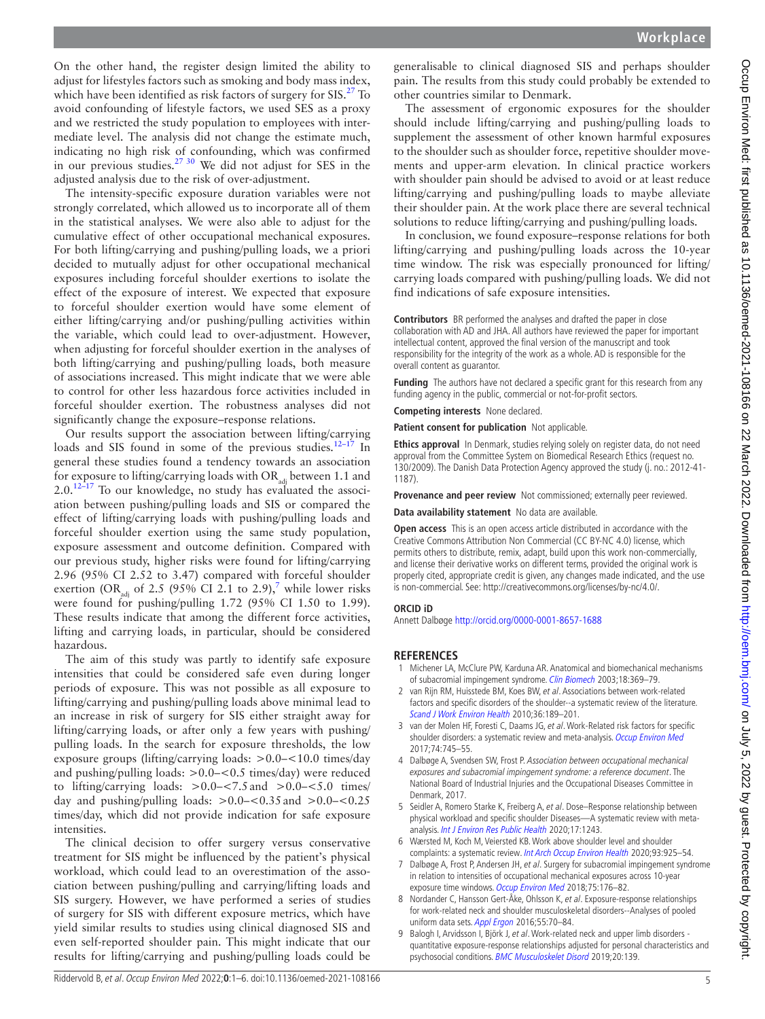On the other hand, the register design limited the ability to adjust for lifestyles factors such as smoking and body mass index, which have been identified as risk factors of surgery for  $SIS<sup>27</sup>$  To avoid confounding of lifestyle factors, we used SES as a proxy and we restricted the study population to employees with intermediate level. The analysis did not change the estimate much, indicating no high risk of confounding, which was confirmed in our previous studies.<sup>27 30</sup> We did not adjust for SES in the adjusted analysis due to the risk of over-adjustment.

The intensity-specific exposure duration variables were not strongly correlated, which allowed us to incorporate all of them in the statistical analyses. We were also able to adjust for the cumulative effect of other occupational mechanical exposures. For both lifting/carrying and pushing/pulling loads, we a priori decided to mutually adjust for other occupational mechanical exposures including forceful shoulder exertions to isolate the effect of the exposure of interest. We expected that exposure to forceful shoulder exertion would have some element of either lifting/carrying and/or pushing/pulling activities within the variable, which could lead to over-adjustment. However, when adjusting for forceful shoulder exertion in the analyses of both lifting/carrying and pushing/pulling loads, both measure of associations increased. This might indicate that we were able to control for other less hazardous force activities included in forceful shoulder exertion. The robustness analyses did not significantly change the exposure–response relations.

Our results support the association between lifting/carrying loads and SIS found in some of the previous studies.<sup>12-17</sup> In general these studies found a tendency towards an association for exposure to lifting/carrying loads with OR $_{\rm adi}$  between 1.1 and  $2.0$ .<sup>12–17</sup> To our knowledge, no study has evaluated the association between pushing/pulling loads and SIS or compared the effect of lifting/carrying loads with pushing/pulling loads and forceful shoulder exertion using the same study population, exposure assessment and outcome definition. Compared with our previous study, higher risks were found for lifting/carrying 2.96 (95% CI 2.52 to 3.47) compared with forceful shoulder exertion (OR<sub>adj</sub> of 2.5 (95% CI 2.1 to 2.9),<sup>[7](#page-4-4)</sup> while lower risks were found for pushing/pulling 1.72 (95% CI 1.50 to 1.99). These results indicate that among the different force activities, lifting and carrying loads, in particular, should be considered hazardous.

The aim of this study was partly to identify safe exposure intensities that could be considered safe even during longer periods of exposure. This was not possible as all exposure to lifting/carrying and pushing/pulling loads above minimal lead to an increase in risk of surgery for SIS either straight away for lifting/carrying loads, or after only a few years with pushing/ pulling loads. In the search for exposure thresholds, the low exposure groups (lifting/carrying loads: >0.0–<10.0 times/day and pushing/pulling loads: >0.0–<0.5 times/day) were reduced to lifting/carrying loads:  $> 0.0 - 5.5$  and  $> 0.0 - 5.0$  times/ day and pushing/pulling loads:  $> 0.0 - 0.35$  and  $> 0.0 - 0.25$ times/day, which did not provide indication for safe exposure intensities.

The clinical decision to offer surgery versus conservative treatment for SIS might be influenced by the patient's physical workload, which could lead to an overestimation of the association between pushing/pulling and carrying/lifting loads and SIS surgery. However, we have performed a series of studies of surgery for SIS with different exposure metrics, which have yield similar results to studies using clinical diagnosed SIS and even self-reported shoulder pain. This might indicate that our results for lifting/carrying and pushing/pulling loads could be

generalisable to clinical diagnosed SIS and perhaps shoulder pain. The results from this study could probably be extended to other countries similar to Denmark.

The assessment of ergonomic exposures for the shoulder should include lifting/carrying and pushing/pulling loads to supplement the assessment of other known harmful exposures to the shoulder such as shoulder force, repetitive shoulder movements and upper-arm elevation. In clinical practice workers with shoulder pain should be advised to avoid or at least reduce lifting/carrying and pushing/pulling loads to maybe alleviate their shoulder pain. At the work place there are several technical solutions to reduce lifting/carrying and pushing/pulling loads.

In conclusion, we found exposure–response relations for both lifting/carrying and pushing/pulling loads across the 10-year time window. The risk was especially pronounced for lifting/ carrying loads compared with pushing/pulling loads. We did not find indications of safe exposure intensities.

**Contributors** BR performed the analyses and drafted the paper in close collaboration with AD and JHA. All authors have reviewed the paper for important intellectual content, approved the final version of the manuscript and took responsibility for the integrity of the work as a whole. AD is responsible for the overall content as guarantor.

**Funding** The authors have not declared a specific grant for this research from any funding agency in the public, commercial or not-for-profit sectors.

**Competing interests** None declared.

**Patient consent for publication** Not applicable.

**Ethics approval** In Denmark, studies relying solely on register data, do not need approval from the Committee System on Biomedical Research Ethics (request no. 130/2009). The Danish Data Protection Agency approved the study (j. no.: 2012-41- 1187).

**Provenance and peer review** Not commissioned; externally peer reviewed.

**Data availability statement** No data are available.

**Open access** This is an open access article distributed in accordance with the Creative Commons Attribution Non Commercial (CC BY-NC 4.0) license, which permits others to distribute, remix, adapt, build upon this work non-commercially, and license their derivative works on different terms, provided the original work is properly cited, appropriate credit is given, any changes made indicated, and the use is non-commercial. See: [http://creativecommons.org/licenses/by-nc/4.0/.](http://creativecommons.org/licenses/by-nc/4.0/)

#### **ORCID iD**

Annett Dalbøge<http://orcid.org/0000-0001-8657-1688>

#### **REFERENCES**

- <span id="page-4-0"></span>1 Michener LA, McClure PW, Karduna AR. Anatomical and biomechanical mechanisms of subacromial impingement syndrome. [Clin Biomech](http://dx.doi.org/10.1016/S0268-0033(03)00047-0) 2003;18:369–79.
- <span id="page-4-1"></span>2 van Rijn RM, Huisstede BM, Koes BW, et al. Associations between work-related factors and specific disorders of the shoulder--a systematic review of the literature. [Scand J Work Environ Health](http://dx.doi.org/10.5271/sjweh.2895) 2010;36:189–201.
- 3 van der Molen HF, Foresti C, Daams JG, et al. Work-Related risk factors for specific shoulder disorders: a systematic review and meta-analysis. [Occup Environ Med](http://dx.doi.org/10.1136/oemed-2017-104339) 2017;74:745–55.
- <span id="page-4-2"></span>4 Dalbøge A, Svendsen SW, Frost P. Association between occupational mechanical exposures and subacromial impingement syndrome: a reference document. The National Board of Industrial Injuries and the Occupational Diseases Committee in Denmark, 2017.
- <span id="page-4-3"></span>5 Seidler A, Romero Starke K, Freiberg A, et al. Dose–Response relationship between physical workload and specific shoulder Diseases—A systematic review with meta-analysis. [Int J Environ Res Public Health](http://dx.doi.org/10.3390/ijerph17041243) 2020;17:1243.
- 6 Wærsted M, Koch M, Veiersted KB. Work above shoulder level and shoulder complaints: a systematic review. [Int Arch Occup Environ Health](http://dx.doi.org/10.1007/s00420-020-01551-4) 2020;93:925–54.
- <span id="page-4-4"></span>7 Dalbøge A, Frost P, Andersen JH, et al. Surgery for subacromial impingement syndrome in relation to intensities of occupational mechanical exposures across 10-year exposure time windows. [Occup Environ Med](http://dx.doi.org/10.1136/oemed-2017-104511) 2018;75:176-82.
- <span id="page-4-5"></span>8 Nordander C, Hansson Gert-Åke, Ohlsson K, et al. Exposure-response relationships for work-related neck and shoulder musculoskeletal disorders--Analyses of pooled uniform data sets. [Appl Ergon](http://dx.doi.org/10.1016/j.apergo.2016.01.010) 2016;55:70-84.
- 9 Balogh I, Arvidsson I, Björk J, et al. Work-related neck and upper limb disorders quantitative exposure-response relationships adjusted for personal characteristics and psychosocial conditions. [BMC Musculoskelet Disord](http://dx.doi.org/10.1186/s12891-019-2491-6) 2019;20:139.